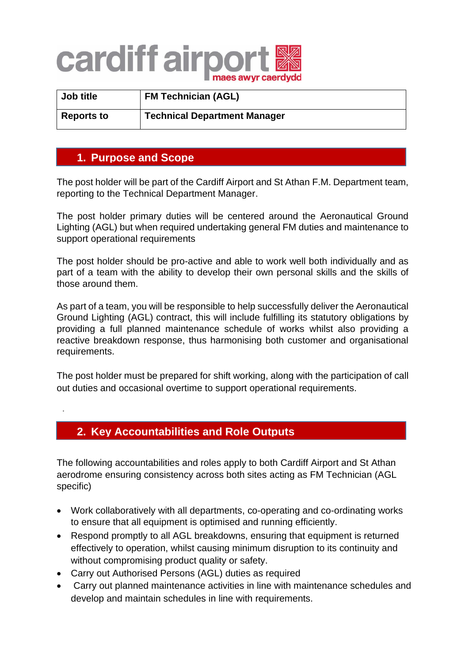## cardiff airpor

| Job title         | <b>FM Technician (AGL)</b>          |
|-------------------|-------------------------------------|
| <b>Reports to</b> | <b>Technical Department Manager</b> |

## **1. Purpose and Scope**

.

The post holder will be part of the Cardiff Airport and St Athan F.M. Department team, reporting to the Technical Department Manager.

The post holder primary duties will be centered around the Aeronautical Ground Lighting (AGL) but when required undertaking general FM duties and maintenance to support operational requirements

The post holder should be pro-active and able to work well both individually and as part of a team with the ability to develop their own personal skills and the skills of those around them.

As part of a team, you will be responsible to help successfully deliver the Aeronautical Ground Lighting (AGL) contract, this will include fulfilling its statutory obligations by providing a full planned maintenance schedule of works whilst also providing a reactive breakdown response, thus harmonising both customer and organisational requirements.

The post holder must be prepared for shift working, along with the participation of call out duties and occasional overtime to support operational requirements.

## **2. Key Accountabilities and Role Outputs Control exists the Airport of Air**

The following accountabilities and roles apply to both Cardiff Airport and St Athan aerodrome ensuring consistency across both sites acting as FM Technician (AGL specific)

- Work collaboratively with all departments, co-operating and co-ordinating works to ensure that all equipment is optimised and running efficiently.
- Respond promptly to all AGL breakdowns, ensuring that equipment is returned effectively to operation, whilst causing minimum disruption to its continuity and without compromising product quality or safety.
- Carry out Authorised Persons (AGL) duties as required
- Carry out planned maintenance activities in line with maintenance schedules and develop and maintain schedules in line with requirements.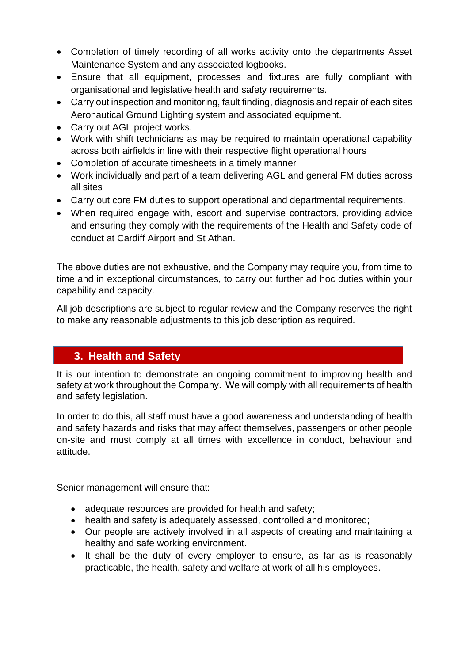- Completion of timely recording of all works activity onto the departments Asset Maintenance System and any associated logbooks.
- Ensure that all equipment, processes and fixtures are fully compliant with organisational and legislative health and safety requirements.
- Carry out inspection and monitoring, fault finding, diagnosis and repair of each sites Aeronautical Ground Lighting system and associated equipment.
- Carry out AGL project works.
- Work with shift technicians as may be required to maintain operational capability across both airfields in line with their respective flight operational hours
- Completion of accurate timesheets in a timely manner
- Work individually and part of a team delivering AGL and general FM duties across all sites
- Carry out core FM duties to support operational and departmental requirements.
- When required engage with, escort and supervise contractors, providing advice and ensuring they comply with the requirements of the Health and Safety code of conduct at Cardiff Airport and St Athan.

The above duties are not exhaustive, and the Company may require you, from time to time and in exceptional circumstances, to carry out further ad hoc duties within your capability and capacity.

All job descriptions are subject to regular review and the Company reserves the right to make any reasonable adjustments to this job description as required.

## **3. Health and Safety**

It is our intention to demonstrate an ongoing commitment to improving health and safety at work throughout the Company. We will comply with all requirements of health and safety legislation.

In order to do this, all staff must have a good awareness and understanding of health and safety hazards and risks that may affect themselves, passengers or other people on-site and must comply at all times with excellence in conduct, behaviour and attitude.

Senior management will ensure that:

- adequate resources are provided for health and safety;
- health and safety is adequately assessed, controlled and monitored;
- Our people are actively involved in all aspects of creating and maintaining a healthy and safe working environment.
- It shall be the duty of every employer to ensure, as far as is reasonably practicable, the health, safety and welfare at work of all his employees.